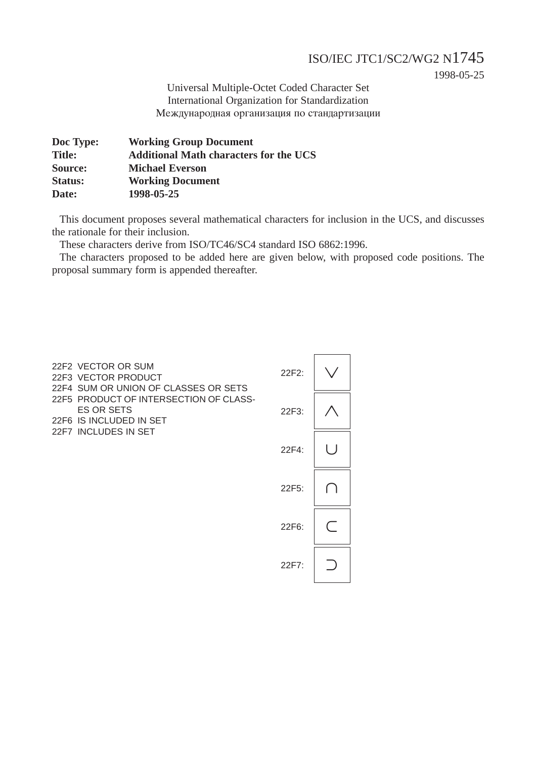## ISO/IEC JTC1/SC2/WG2 N1745

1998-05-25

Universal Multiple-Octet Coded Character Set International Organization for Standardization Международная организация по стандартизации

| Doc Type:      | <b>Working Group Document</b>                 |
|----------------|-----------------------------------------------|
| <b>Title:</b>  | <b>Additional Math characters for the UCS</b> |
| Source:        | <b>Michael Everson</b>                        |
| <b>Status:</b> | <b>Working Document</b>                       |
| Date:          | 1998-05-25                                    |
|                |                                               |

This document proposes several mathematical characters for inclusion in the UCS, and discusses the rationale for their inclusion.

These characters derive from ISO/TC46/SC4 standard ISO 6862:1996.

The characters proposed to be added here are given below, with proposed code positions. The proposal summary form is appended thereafter.

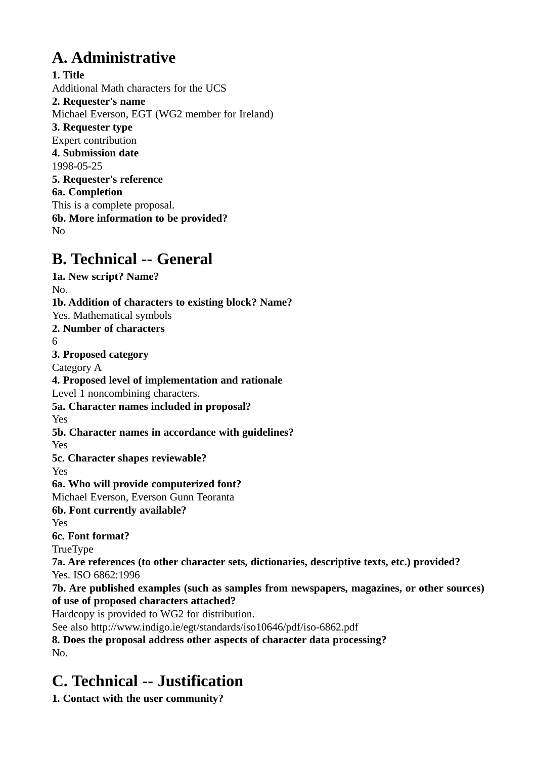# **A. Administrative**

**1. Title** Additional Math characters for the UCS **2. Requester's name** Michael Everson, EGT (WG2 member for Ireland) **3. Requester type** Expert contribution **4. Submission date** 1998-05-25 **5. Requester's reference 6a. Completion** This is a complete proposal. **6b. More information to be provided?** No

# **B. Technical -- General**

**1a. New script? Name?** No. **1b. Addition of characters to existing block? Name?** Yes. Mathematical symbols **2. Number of characters** 6 **3. Proposed category** Category A **4. Proposed level of implementation and rationale** Level 1 noncombining characters. **5a. Character names included in proposal?** Yes **5b. Character names in accordance with guidelines?** Yes **5c. Character shapes reviewable?** Yes **6a. Who will provide computerized font?** Michael Everson, Everson Gunn Teoranta **6b. Font currently available?** Yes **6c. Font format?** TrueType **7a. Are references (to other character sets, dictionaries, descriptive texts, etc.) provided?** Yes. ISO 6862:1996 **7b. Are published examples (such as samples from newspapers, magazines, or other sources) of use of proposed characters attached?** Hardcopy is provided to WG2 for distribution. See also http://www.indigo.ie/egt/standards/iso10646/pdf/iso-6862.pdf **8. Does the proposal address other aspects of character data processing?** No.

# **C. Technical -- Justification**

**1. Contact with the user community?**